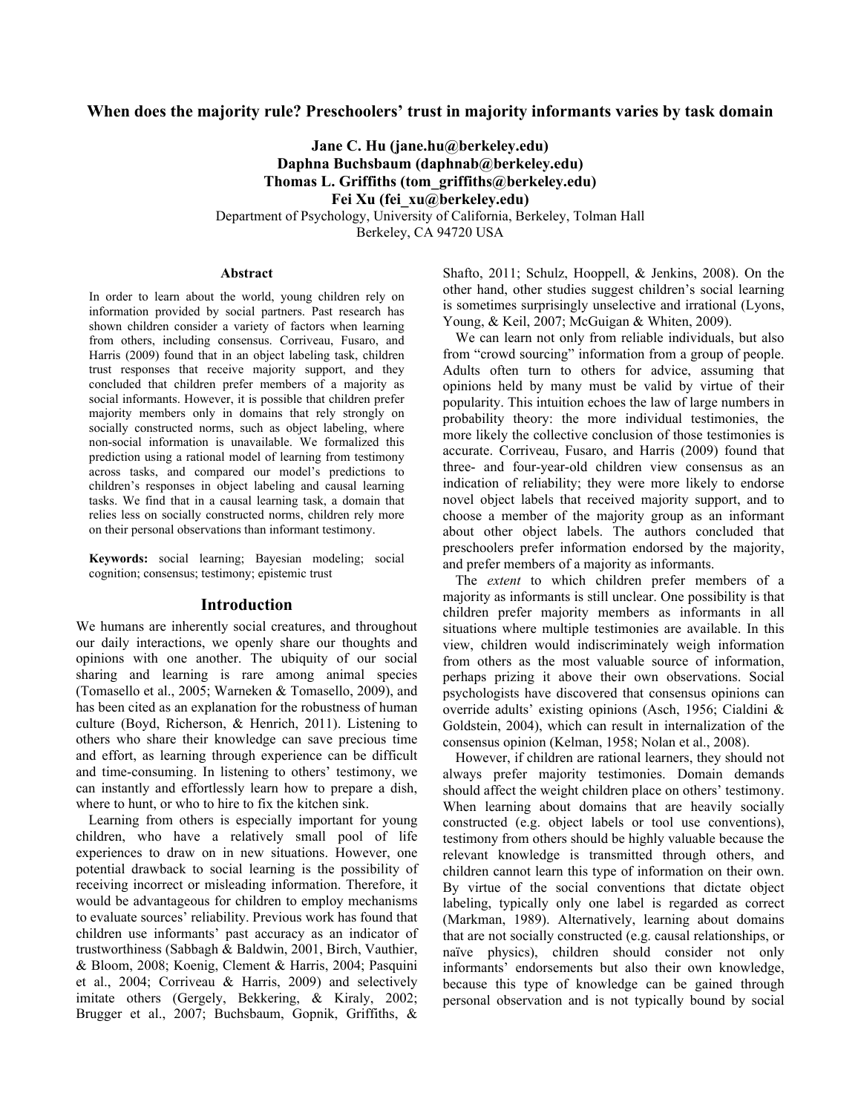### **When does the majority rule? Preschoolers' trust in majority informants varies by task domain**

**Jane C. Hu (jane.hu@berkeley.edu) Daphna Buchsbaum (daphnab@berkeley.edu) Thomas L. Griffiths (tom\_griffiths@berkeley.edu) Fei Xu (fei\_xu@berkeley.edu)** Department of Psychology, University of California, Berkeley, Tolman Hall

Berkeley, CA 94720 USA

#### **Abstract**

In order to learn about the world, young children rely on information provided by social partners. Past research has shown children consider a variety of factors when learning from others, including consensus. Corriveau, Fusaro, and Harris (2009) found that in an object labeling task, children trust responses that receive majority support, and they concluded that children prefer members of a majority as social informants. However, it is possible that children prefer majority members only in domains that rely strongly on socially constructed norms, such as object labeling, where non-social information is unavailable. We formalized this prediction using a rational model of learning from testimony across tasks, and compared our model's predictions to children's responses in object labeling and causal learning tasks. We find that in a causal learning task, a domain that relies less on socially constructed norms, children rely more on their personal observations than informant testimony.

**Keywords:** social learning; Bayesian modeling; social cognition; consensus; testimony; epistemic trust

#### **Introduction**

We humans are inherently social creatures, and throughout our daily interactions, we openly share our thoughts and opinions with one another. The ubiquity of our social sharing and learning is rare among animal species (Tomasello et al., 2005; Warneken & Tomasello, 2009), and has been cited as an explanation for the robustness of human culture (Boyd, Richerson, & Henrich, 2011). Listening to others who share their knowledge can save precious time and effort, as learning through experience can be difficult and time-consuming. In listening to others' testimony, we can instantly and effortlessly learn how to prepare a dish, where to hunt, or who to hire to fix the kitchen sink.

Learning from others is especially important for young children, who have a relatively small pool of life experiences to draw on in new situations. However, one potential drawback to social learning is the possibility of receiving incorrect or misleading information. Therefore, it would be advantageous for children to employ mechanisms to evaluate sources' reliability. Previous work has found that children use informants' past accuracy as an indicator of trustworthiness (Sabbagh & Baldwin, 2001, Birch, Vauthier, & Bloom, 2008; Koenig, Clement & Harris, 2004; Pasquini et al., 2004; Corriveau & Harris, 2009) and selectively imitate others (Gergely, Bekkering, & Kiraly, 2002; Brugger et al., 2007; Buchsbaum, Gopnik, Griffiths, &

Shafto, 2011; Schulz, Hooppell, & Jenkins, 2008). On the other hand, other studies suggest children's social learning is sometimes surprisingly unselective and irrational (Lyons, Young, & Keil, 2007; McGuigan & Whiten, 2009).

We can learn not only from reliable individuals, but also from "crowd sourcing" information from a group of people. Adults often turn to others for advice, assuming that opinions held by many must be valid by virtue of their popularity. This intuition echoes the law of large numbers in probability theory: the more individual testimonies, the more likely the collective conclusion of those testimonies is accurate. Corriveau, Fusaro, and Harris (2009) found that three- and four-year-old children view consensus as an indication of reliability; they were more likely to endorse novel object labels that received majority support, and to choose a member of the majority group as an informant about other object labels. The authors concluded that preschoolers prefer information endorsed by the majority, and prefer members of a majority as informants.

The *extent* to which children prefer members of a majority as informants is still unclear. One possibility is that children prefer majority members as informants in all situations where multiple testimonies are available. In this view, children would indiscriminately weigh information from others as the most valuable source of information, perhaps prizing it above their own observations. Social psychologists have discovered that consensus opinions can override adults' existing opinions (Asch, 1956; Cialdini & Goldstein, 2004), which can result in internalization of the consensus opinion (Kelman, 1958; Nolan et al., 2008).

However, if children are rational learners, they should not always prefer majority testimonies. Domain demands should affect the weight children place on others' testimony. When learning about domains that are heavily socially constructed (e.g. object labels or tool use conventions), testimony from others should be highly valuable because the relevant knowledge is transmitted through others, and children cannot learn this type of information on their own. By virtue of the social conventions that dictate object labeling, typically only one label is regarded as correct (Markman, 1989). Alternatively, learning about domains that are not socially constructed (e.g. causal relationships, or naïve physics), children should consider not only informants' endorsements but also their own knowledge, because this type of knowledge can be gained through personal observation and is not typically bound by social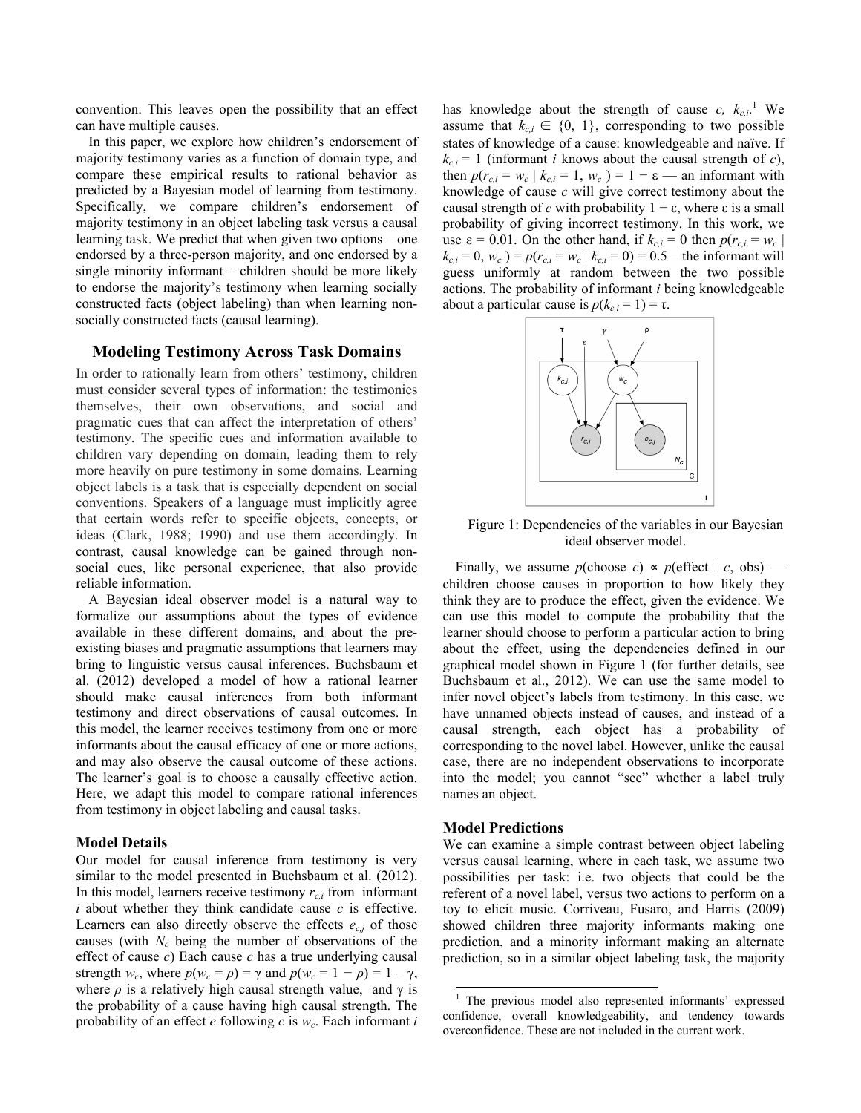convention. This leaves open the possibility that an effect can have multiple causes.

In this paper, we explore how children's endorsement of majority testimony varies as a function of domain type, and compare these empirical results to rational behavior as predicted by a Bayesian model of learning from testimony. Specifically, we compare children's endorsement of majority testimony in an object labeling task versus a causal learning task. We predict that when given two options – one endorsed by a three-person majority, and one endorsed by a single minority informant – children should be more likely to endorse the majority's testimony when learning socially constructed facts (object labeling) than when learning nonsocially constructed facts (causal learning).

### **Modeling Testimony Across Task Domains**

In order to rationally learn from others' testimony, children must consider several types of information: the testimonies themselves, their own observations, and social and pragmatic cues that can affect the interpretation of others' testimony. The specific cues and information available to children vary depending on domain, leading them to rely more heavily on pure testimony in some domains. Learning object labels is a task that is especially dependent on social conventions. Speakers of a language must implicitly agree that certain words refer to specific objects, concepts, or ideas (Clark, 1988; 1990) and use them accordingly. In contrast, causal knowledge can be gained through nonsocial cues, like personal experience, that also provide reliable information.

A Bayesian ideal observer model is a natural way to formalize our assumptions about the types of evidence available in these different domains, and about the preexisting biases and pragmatic assumptions that learners may bring to linguistic versus causal inferences. Buchsbaum et al. (2012) developed a model of how a rational learner should make causal inferences from both informant testimony and direct observations of causal outcomes. In this model, the learner receives testimony from one or more informants about the causal efficacy of one or more actions, and may also observe the causal outcome of these actions. The learner's goal is to choose a causally effective action. Here, we adapt this model to compare rational inferences from testimony in object labeling and causal tasks.

#### **Model Details**

Our model for causal inference from testimony is very similar to the model presented in Buchsbaum et al. (2012). In this model, learners receive testimony  $r_{c,i}$  from informant *i* about whether they think candidate cause *c* is effective. Learners can also directly observe the effects  $e_{c,j}$  of those causes (with  $N_c$  being the number of observations of the effect of cause *c*) Each cause *c* has a true underlying causal strength  $w_c$ , where  $p(w_c = \rho) = \gamma$  and  $p(w_c = 1 - \rho) = 1 - \gamma$ , where  $\rho$  is a relatively high causal strength value, and  $\gamma$  is the probability of a cause having high causal strength. The probability of an effect  $e$  following  $c$  is  $w_c$ . Each informant  $i$ 

has knowledge about the strength of cause  $c, k_{c,i}$ <sup>1</sup> We assume that  $k_{c,i} \in \{0, 1\}$ , corresponding to two possible states of knowledge of a cause: knowledgeable and naïve. If  $k_{c,i}$  = 1 (informant *i* knows about the causal strength of *c*), then  $p(r_{c,i} = w_c \mid k_{c,i} = 1, w_c) = 1 - \varepsilon$  — an informant with knowledge of cause *c* will give correct testimony about the causal strength of *c* with probability  $1 − ε$ , where ε is a small probability of giving incorrect testimony. In this work, we use  $\varepsilon = 0.01$ . On the other hand, if  $k_{c,i} = 0$  then  $p(r_{c,i} = w_c)$  $k_{c,i} = 0$ ,  $w_c$ ) =  $p(r_{c,i} = w_c | k_{c,i} = 0) = 0.5$  – the informant will guess uniformly at random between the two possible actions. The probability of informant *i* being knowledgeable about a particular cause is  $p(k_{c,i} = 1) = \tau$ .



Figure 1: Dependencies of the variables in our Bayesian ideal observer model.

Finally, we assume  $p(\text{choose } c) \propto p(\text{effect} | c, \text{obs})$  children choose causes in proportion to how likely they think they are to produce the effect, given the evidence. We can use this model to compute the probability that the learner should choose to perform a particular action to bring about the effect, using the dependencies defined in our graphical model shown in Figure 1 (for further details, see Buchsbaum et al., 2012). We can use the same model to infer novel object's labels from testimony. In this case, we have unnamed objects instead of causes, and instead of a causal strength, each object has a probability of corresponding to the novel label. However, unlike the causal case, there are no independent observations to incorporate into the model; you cannot "see" whether a label truly names an object.

#### **Model Predictions**

We can examine a simple contrast between object labeling versus causal learning, where in each task, we assume two possibilities per task: i.e. two objects that could be the referent of a novel label, versus two actions to perform on a toy to elicit music. Corriveau, Fusaro, and Harris (2009) showed children three majority informants making one prediction, and a minority informant making an alternate prediction, so in a similar object labeling task, the majority

 <sup>1</sup> The previous model also represented informants' expressed confidence, overall knowledgeability, and tendency towards overconfidence. These are not included in the current work.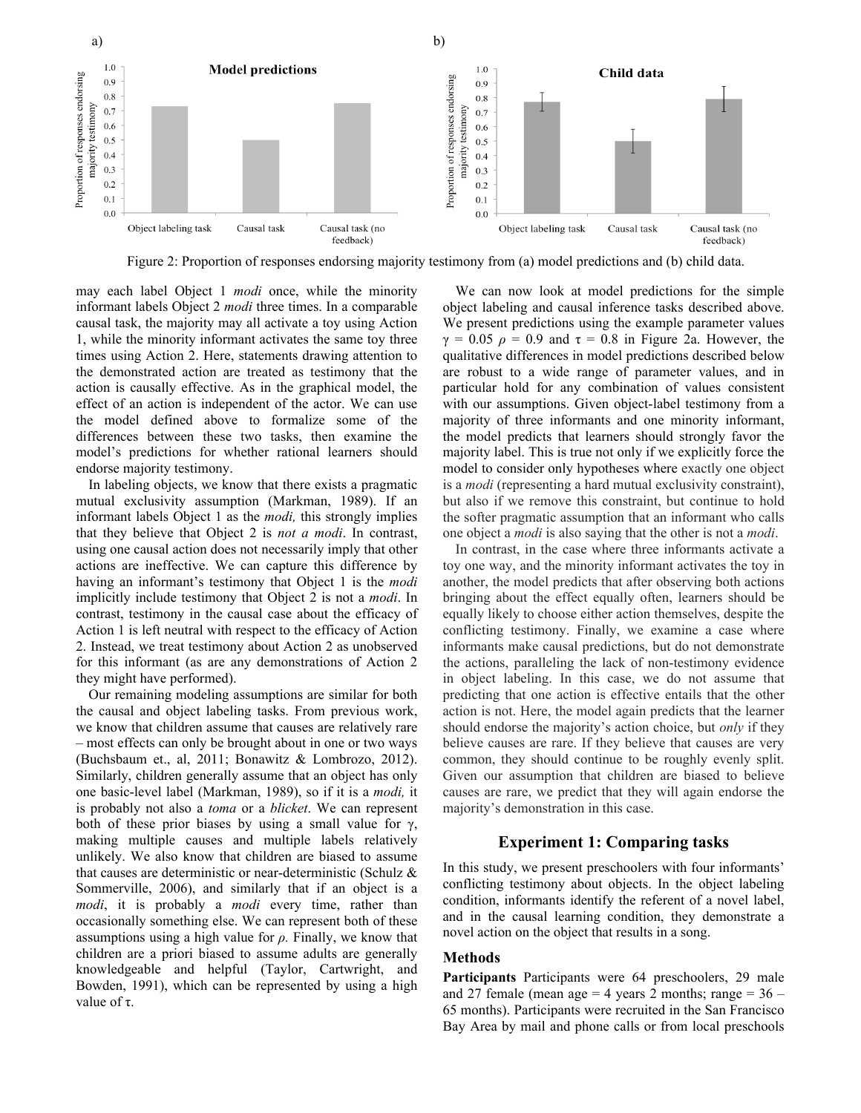

Figure 2: Proportion of responses endorsing majority testimony from (a) model predictions and (b) child data.

may each label Object 1 *modi* once, while the minority informant labels Object 2 *modi* three times. In a comparable causal task, the majority may all activate a toy using Action 1, while the minority informant activates the same toy three times using Action 2. Here, statements drawing attention to the demonstrated action are treated as testimony that the action is causally effective. As in the graphical model, the effect of an action is independent of the actor. We can use the model defined above to formalize some of the differences between these two tasks, then examine the model's predictions for whether rational learners should endorse majority testimony.

In labeling objects, we know that there exists a pragmatic mutual exclusivity assumption (Markman, 1989). If an informant labels Object 1 as the *modi,* this strongly implies that they believe that Object 2 is *not a modi*. In contrast, using one causal action does not necessarily imply that other actions are ineffective. We can capture this difference by having an informant's testimony that Object 1 is the *modi* implicitly include testimony that Object 2 is not a *modi*. In contrast, testimony in the causal case about the efficacy of Action 1 is left neutral with respect to the efficacy of Action 2. Instead, we treat testimony about Action 2 as unobserved for this informant (as are any demonstrations of Action 2 they might have performed).

Our remaining modeling assumptions are similar for both the causal and object labeling tasks. From previous work, we know that children assume that causes are relatively rare – most effects can only be brought about in one or two ways (Buchsbaum et., al, 2011; Bonawitz & Lombrozo, 2012). Similarly, children generally assume that an object has only one basic-level label (Markman, 1989), so if it is a *modi,* it is probably not also a *toma* or a *blicket*. We can represent both of these prior biases by using a small value for  $\gamma$ , making multiple causes and multiple labels relatively unlikely. We also know that children are biased to assume that causes are deterministic or near-deterministic (Schulz & Sommerville, 2006), and similarly that if an object is a *modi*, it is probably a *modi* every time, rather than occasionally something else. We can represent both of these assumptions using a high value for *ρ.* Finally, we know that children are a priori biased to assume adults are generally knowledgeable and helpful (Taylor, Cartwright, and Bowden, 1991), which can be represented by using a high value of τ.

We can now look at model predictions for the simple object labeling and causal inference tasks described above. We present predictions using the example parameter values  $\gamma = 0.05$   $\rho = 0.9$  and  $\tau = 0.8$  in Figure 2a. However, the qualitative differences in model predictions described below are robust to a wide range of parameter values, and in particular hold for any combination of values consistent with our assumptions. Given object-label testimony from a majority of three informants and one minority informant, the model predicts that learners should strongly favor the majority label. This is true not only if we explicitly force the model to consider only hypotheses where exactly one object is a *modi* (representing a hard mutual exclusivity constraint), but also if we remove this constraint, but continue to hold the softer pragmatic assumption that an informant who calls one object a *modi* is also saying that the other is not a *modi*.

In contrast, in the case where three informants activate a toy one way, and the minority informant activates the toy in another, the model predicts that after observing both actions bringing about the effect equally often, learners should be equally likely to choose either action themselves, despite the conflicting testimony. Finally, we examine a case where informants make causal predictions, but do not demonstrate the actions, paralleling the lack of non-testimony evidence in object labeling. In this case, we do not assume that predicting that one action is effective entails that the other action is not. Here, the model again predicts that the learner should endorse the majority's action choice, but *only* if they believe causes are rare. If they believe that causes are very common, they should continue to be roughly evenly split. Given our assumption that children are biased to believe causes are rare, we predict that they will again endorse the majority's demonstration in this case.

# **Experiment 1: Comparing tasks**

In this study, we present preschoolers with four informants' conflicting testimony about objects. In the object labeling condition, informants identify the referent of a novel label, and in the causal learning condition, they demonstrate a novel action on the object that results in a song.

### **Methods**

**Participants** Participants were 64 preschoolers, 29 male and 27 female (mean age  $=$  4 years 2 months; range  $=$  36  $-$ 65 months). Participants were recruited in the San Francisco Bay Area by mail and phone calls or from local preschools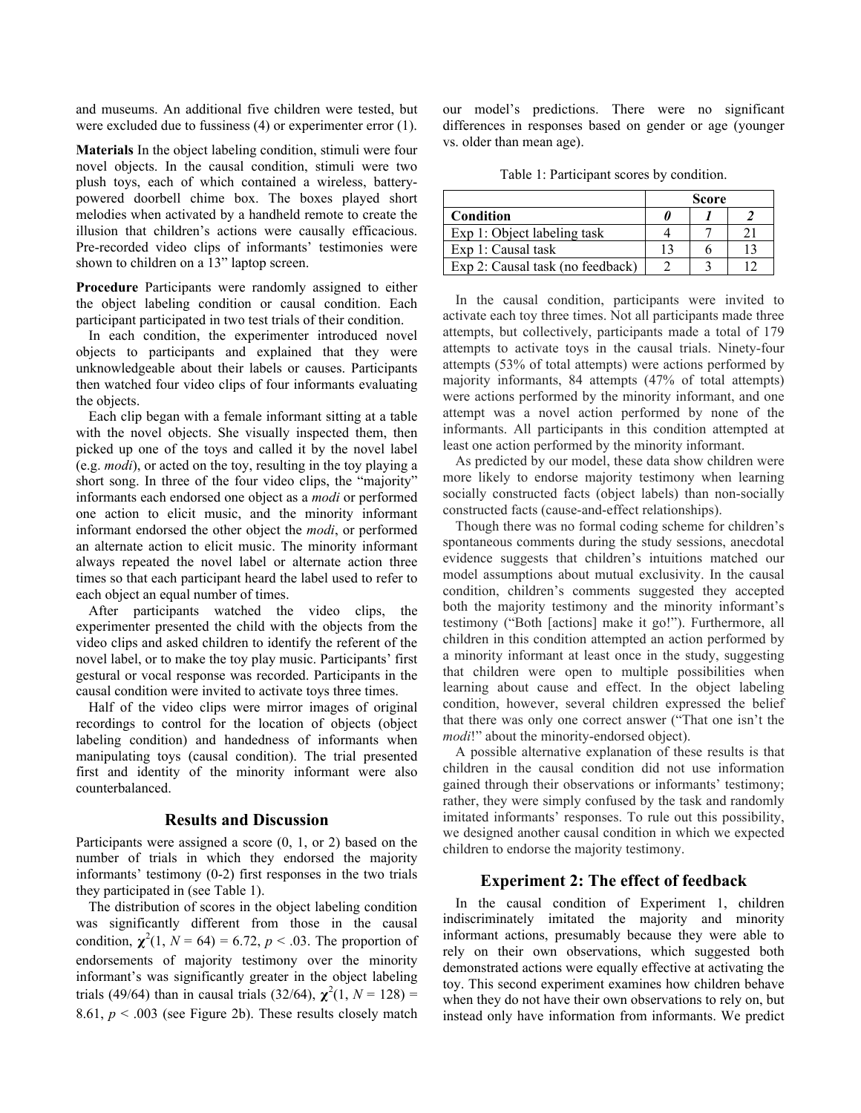and museums. An additional five children were tested, but were excluded due to fussiness (4) or experimenter error (1).

**Materials** In the object labeling condition, stimuli were four novel objects. In the causal condition, stimuli were two plush toys, each of which contained a wireless, batterypowered doorbell chime box. The boxes played short melodies when activated by a handheld remote to create the illusion that children's actions were causally efficacious. Pre-recorded video clips of informants' testimonies were shown to children on a 13" laptop screen.

**Procedure** Participants were randomly assigned to either the object labeling condition or causal condition. Each participant participated in two test trials of their condition.

In each condition, the experimenter introduced novel objects to participants and explained that they were unknowledgeable about their labels or causes. Participants then watched four video clips of four informants evaluating the objects.

Each clip began with a female informant sitting at a table with the novel objects. She visually inspected them, then picked up one of the toys and called it by the novel label (e.g. *modi*), or acted on the toy, resulting in the toy playing a short song. In three of the four video clips, the "majority" informants each endorsed one object as a *modi* or performed one action to elicit music, and the minority informant informant endorsed the other object the *modi*, or performed an alternate action to elicit music. The minority informant always repeated the novel label or alternate action three times so that each participant heard the label used to refer to each object an equal number of times.

After participants watched the video clips, the experimenter presented the child with the objects from the video clips and asked children to identify the referent of the novel label, or to make the toy play music. Participants' first gestural or vocal response was recorded. Participants in the causal condition were invited to activate toys three times.

Half of the video clips were mirror images of original recordings to control for the location of objects (object labeling condition) and handedness of informants when manipulating toys (causal condition). The trial presented first and identity of the minority informant were also counterbalanced.

### **Results and Discussion**

Participants were assigned a score (0, 1, or 2) based on the number of trials in which they endorsed the majority informants' testimony (0-2) first responses in the two trials they participated in (see Table 1).

The distribution of scores in the object labeling condition was significantly different from those in the causal condition,  $\chi^2(1, N = 64) = 6.72, p < .03$ . The proportion of endorsements of majority testimony over the minority informant's was significantly greater in the object labeling trials (49/64) than in causal trials (32/64),  $\chi^2(1, N = 128) =$ 8.61,  $p < .003$  (see Figure 2b). These results closely match

our model's predictions. There were no significant differences in responses based on gender or age (younger vs. older than mean age).

Table 1: Participant scores by condition.

|                                  | Score |  |  |
|----------------------------------|-------|--|--|
| Condition                        |       |  |  |
| Exp 1: Object labeling task      |       |  |  |
| Exp 1: Causal task               | 13    |  |  |
| Exp 2: Causal task (no feedback) |       |  |  |

In the causal condition, participants were invited to activate each toy three times. Not all participants made three attempts, but collectively, participants made a total of 179 attempts to activate toys in the causal trials. Ninety-four attempts (53% of total attempts) were actions performed by majority informants, 84 attempts (47% of total attempts) were actions performed by the minority informant, and one attempt was a novel action performed by none of the informants. All participants in this condition attempted at least one action performed by the minority informant.

As predicted by our model, these data show children were more likely to endorse majority testimony when learning socially constructed facts (object labels) than non-socially constructed facts (cause-and-effect relationships).

Though there was no formal coding scheme for children's spontaneous comments during the study sessions, anecdotal evidence suggests that children's intuitions matched our model assumptions about mutual exclusivity. In the causal condition, children's comments suggested they accepted both the majority testimony and the minority informant's testimony ("Both [actions] make it go!"). Furthermore, all children in this condition attempted an action performed by a minority informant at least once in the study, suggesting that children were open to multiple possibilities when learning about cause and effect. In the object labeling condition, however, several children expressed the belief that there was only one correct answer ("That one isn't the *modi!*" about the minority-endorsed object).

A possible alternative explanation of these results is that children in the causal condition did not use information gained through their observations or informants' testimony; rather, they were simply confused by the task and randomly imitated informants' responses. To rule out this possibility, we designed another causal condition in which we expected children to endorse the majority testimony.

# **Experiment 2: The effect of feedback**

In the causal condition of Experiment 1, children indiscriminately imitated the majority and minority informant actions, presumably because they were able to rely on their own observations, which suggested both demonstrated actions were equally effective at activating the toy. This second experiment examines how children behave when they do not have their own observations to rely on, but instead only have information from informants. We predict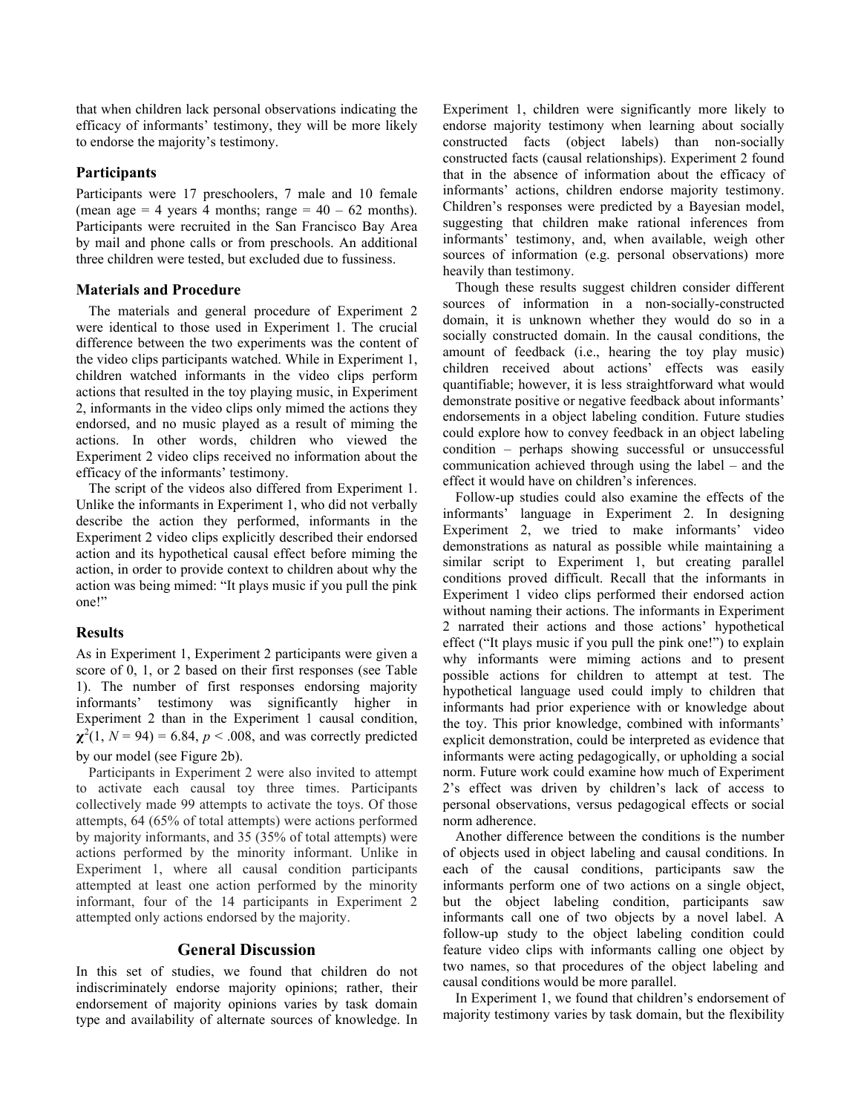that when children lack personal observations indicating the efficacy of informants' testimony, they will be more likely to endorse the majority's testimony.

# **Participants**

Participants were 17 preschoolers, 7 male and 10 female (mean age  $= 4$  years 4 months; range  $= 40 - 62$  months). Participants were recruited in the San Francisco Bay Area by mail and phone calls or from preschools. An additional three children were tested, but excluded due to fussiness.

## **Materials and Procedure**

The materials and general procedure of Experiment 2 were identical to those used in Experiment 1. The crucial difference between the two experiments was the content of the video clips participants watched. While in Experiment 1, children watched informants in the video clips perform actions that resulted in the toy playing music, in Experiment 2, informants in the video clips only mimed the actions they endorsed, and no music played as a result of miming the actions. In other words, children who viewed the Experiment 2 video clips received no information about the efficacy of the informants' testimony.

The script of the videos also differed from Experiment 1. Unlike the informants in Experiment 1, who did not verbally describe the action they performed, informants in the Experiment 2 video clips explicitly described their endorsed action and its hypothetical causal effect before miming the action, in order to provide context to children about why the action was being mimed: "It plays music if you pull the pink one!"

# **Results**

As in Experiment 1, Experiment 2 participants were given a score of 0, 1, or 2 based on their first responses (see Table 1). The number of first responses endorsing majority informants' testimony was significantly higher in Experiment 2 than in the Experiment 1 causal condition,  $\chi^2(1, N = 94) = 6.84, p < .008$ , and was correctly predicted by our model (see Figure 2b).

Participants in Experiment 2 were also invited to attempt to activate each causal toy three times. Participants collectively made 99 attempts to activate the toys. Of those attempts, 64 (65% of total attempts) were actions performed by majority informants, and 35 (35% of total attempts) were actions performed by the minority informant. Unlike in Experiment 1, where all causal condition participants attempted at least one action performed by the minority informant, four of the 14 participants in Experiment 2 attempted only actions endorsed by the majority.

### **General Discussion**

In this set of studies, we found that children do not indiscriminately endorse majority opinions; rather, their endorsement of majority opinions varies by task domain type and availability of alternate sources of knowledge. In Experiment 1, children were significantly more likely to endorse majority testimony when learning about socially constructed facts (object labels) than non-socially constructed facts (causal relationships). Experiment 2 found that in the absence of information about the efficacy of informants' actions, children endorse majority testimony. Children's responses were predicted by a Bayesian model, suggesting that children make rational inferences from informants' testimony, and, when available, weigh other sources of information (e.g. personal observations) more heavily than testimony.

Though these results suggest children consider different sources of information in a non-socially-constructed domain, it is unknown whether they would do so in a socially constructed domain. In the causal conditions, the amount of feedback (i.e., hearing the toy play music) children received about actions' effects was easily quantifiable; however, it is less straightforward what would demonstrate positive or negative feedback about informants' endorsements in a object labeling condition. Future studies could explore how to convey feedback in an object labeling condition – perhaps showing successful or unsuccessful communication achieved through using the label – and the effect it would have on children's inferences.

Follow-up studies could also examine the effects of the informants' language in Experiment 2. In designing Experiment 2, we tried to make informants' video demonstrations as natural as possible while maintaining a similar script to Experiment 1, but creating parallel conditions proved difficult. Recall that the informants in Experiment 1 video clips performed their endorsed action without naming their actions. The informants in Experiment 2 narrated their actions and those actions' hypothetical effect ("It plays music if you pull the pink one!") to explain why informants were miming actions and to present possible actions for children to attempt at test. The hypothetical language used could imply to children that informants had prior experience with or knowledge about the toy. This prior knowledge, combined with informants' explicit demonstration, could be interpreted as evidence that informants were acting pedagogically, or upholding a social norm. Future work could examine how much of Experiment 2's effect was driven by children's lack of access to personal observations, versus pedagogical effects or social norm adherence.

Another difference between the conditions is the number of objects used in object labeling and causal conditions. In each of the causal conditions, participants saw the informants perform one of two actions on a single object, but the object labeling condition, participants saw informants call one of two objects by a novel label. A follow-up study to the object labeling condition could feature video clips with informants calling one object by two names, so that procedures of the object labeling and causal conditions would be more parallel.

In Experiment 1, we found that children's endorsement of majority testimony varies by task domain, but the flexibility